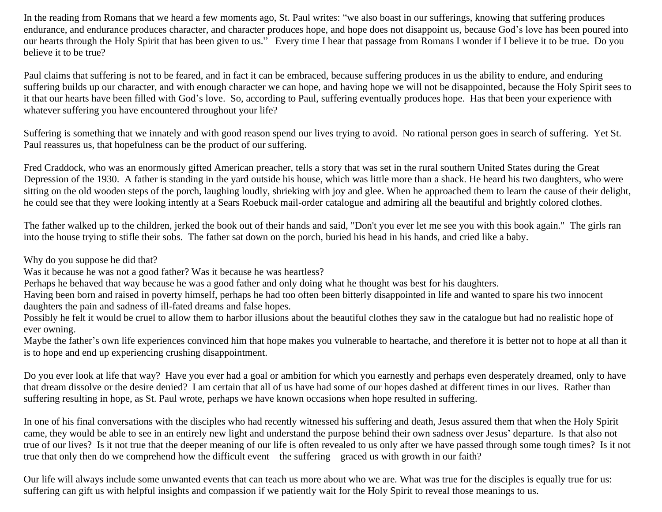In the reading from Romans that we heard a few moments ago, St. Paul writes: "we also boast in our sufferings, knowing that suffering produces endurance, and endurance produces character, and character produces hope, and hope does not disappoint us, because God's love has been poured into our hearts through the Holy Spirit that has been given to us." Every time I hear that passage from Romans I wonder if I believe it to be true. Do you believe it to be true?

Paul claims that suffering is not to be feared, and in fact it can be embraced, because suffering produces in us the ability to endure, and enduring suffering builds up our character, and with enough character we can hope, and having hope we will not be disappointed, because the Holy Spirit sees to it that our hearts have been filled with God's love. So, according to Paul, suffering eventually produces hope. Has that been your experience with whatever suffering you have encountered throughout your life?

Suffering is something that we innately and with good reason spend our lives trying to avoid. No rational person goes in search of suffering. Yet St. Paul reassures us, that hopefulness can be the product of our suffering.

Fred Craddock, who was an enormously gifted American preacher, tells a story that was set in the rural southern United States during the Great Depression of the 1930. A father is standing in the yard outside his house, which was little more than a shack. He heard his two daughters, who were sitting on the old wooden steps of the porch, laughing loudly, shrieking with joy and glee. When he approached them to learn the cause of their delight, he could see that they were looking intently at a Sears Roebuck mail-order catalogue and admiring all the beautiful and brightly colored clothes.

The father walked up to the children, jerked the book out of their hands and said, "Don't you ever let me see you with this book again." The girls ran into the house trying to stifle their sobs. The father sat down on the porch, buried his head in his hands, and cried like a baby.

Why do you suppose he did that?

Was it because he was not a good father? Was it because he was heartless?

Perhaps he behaved that way because he was a good father and only doing what he thought was best for his daughters.

Having been born and raised in poverty himself, perhaps he had too often been bitterly disappointed in life and wanted to spare his two innocent daughters the pain and sadness of ill-fated dreams and false hopes.

Possibly he felt it would be cruel to allow them to harbor illusions about the beautiful clothes they saw in the catalogue but had no realistic hope of ever owning.

Maybe the father's own life experiences convinced him that hope makes you vulnerable to heartache, and therefore it is better not to hope at all than it is to hope and end up experiencing crushing disappointment.

Do you ever look at life that way? Have you ever had a goal or ambition for which you earnestly and perhaps even desperately dreamed, only to have that dream dissolve or the desire denied? I am certain that all of us have had some of our hopes dashed at different times in our lives. Rather than suffering resulting in hope, as St. Paul wrote, perhaps we have known occasions when hope resulted in suffering.

In one of his final conversations with the disciples who had recently witnessed his suffering and death, Jesus assured them that when the Holy Spirit came, they would be able to see in an entirely new light and understand the purpose behind their own sadness over Jesus' departure. Is that also not true of our lives? Is it not true that the deeper meaning of our life is often revealed to us only after we have passed through some tough times? Is it not true that only then do we comprehend how the difficult event – the suffering – graced us with growth in our faith?

Our life will always include some unwanted events that can teach us more about who we are. What was true for the disciples is equally true for us: suffering can gift us with helpful insights and compassion if we patiently wait for the Holy Spirit to reveal those meanings to us.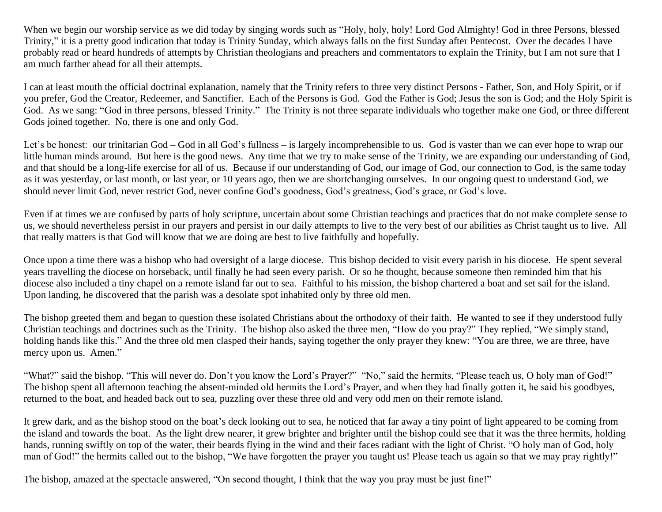When we begin our worship service as we did today by singing words such as "Holy, holy, holy! Lord God Almighty! God in three Persons, blessed Trinity," it is a pretty good indication that today is Trinity Sunday, which always falls on the first Sunday after Pentecost. Over the decades I have probably read or heard hundreds of attempts by Christian theologians and preachers and commentators to explain the Trinity, but I am not sure that I am much farther ahead for all their attempts.

I can at least mouth the official doctrinal explanation, namely that the Trinity refers to three very distinct Persons - Father, Son, and Holy Spirit, or if you prefer, God the Creator, Redeemer, and Sanctifier. Each of the Persons is God. God the Father is God; Jesus the son is God; and the Holy Spirit is God. As we sang: "God in three persons, blessed Trinity." The Trinity is not three separate individuals who together make one God, or three different Gods joined together. No, there is one and only God.

Let's be honest: our trinitarian God – God in all God's fullness – is largely incomprehensible to us. God is vaster than we can ever hope to wrap our little human minds around. But here is the good news. Any time that we try to make sense of the Trinity, we are expanding our understanding of God, and that should be a long-life exercise for all of us. Because if our understanding of God, our image of God, our connection to God, is the same today as it was yesterday, or last month, or last year, or 10 years ago, then we are shortchanging ourselves. In our ongoing quest to understand God, we should never limit God, never restrict God, never confine God's goodness, God's greatness, God's grace, or God's love.

Even if at times we are confused by parts of holy scripture, uncertain about some Christian teachings and practices that do not make complete sense to us, we should nevertheless persist in our prayers and persist in our daily attempts to live to the very best of our abilities as Christ taught us to live. All that really matters is that God will know that we are doing are best to live faithfully and hopefully.

Once upon a time there was a bishop who had oversight of a large diocese. This bishop decided to visit every parish in his diocese. He spent several years travelling the diocese on horseback, until finally he had seen every parish. Or so he thought, because someone then reminded him that his diocese also included a tiny chapel on a remote island far out to sea. Faithful to his mission, the bishop chartered a boat and set sail for the island. Upon landing, he discovered that the parish was a desolate spot inhabited only by three old men.

The bishop greeted them and began to question these isolated Christians about the orthodoxy of their faith. He wanted to see if they understood fully Christian teachings and doctrines such as the Trinity. The bishop also asked the three men, "How do you pray?" They replied, "We simply stand, holding hands like this." And the three old men clasped their hands, saying together the only prayer they knew: "You are three, we are three, have mercy upon us. Amen."

"What?" said the bishop. "This will never do. Don't you know the Lord's Prayer?" "No," said the hermits, "Please teach us, O holy man of God!" The bishop spent all afternoon teaching the absent-minded old hermits the Lord's Prayer, and when they had finally gotten it, he said his goodbyes, returned to the boat, and headed back out to sea, puzzling over these three old and very odd men on their remote island.

It grew dark, and as the bishop stood on the boat's deck looking out to sea, he noticed that far away a tiny point of light appeared to be coming from the island and towards the boat. As the light drew nearer, it grew brighter and brighter until the bishop could see that it was the three hermits, holding hands, running swiftly on top of the water, their beards flying in the wind and their faces radiant with the light of Christ. "O holy man of God, holy man of God!" the hermits called out to the bishop, "We have forgotten the prayer you taught us! Please teach us again so that we may pray rightly!"

The bishop, amazed at the spectacle answered, "On second thought, I think that the way you pray must be just fine!"